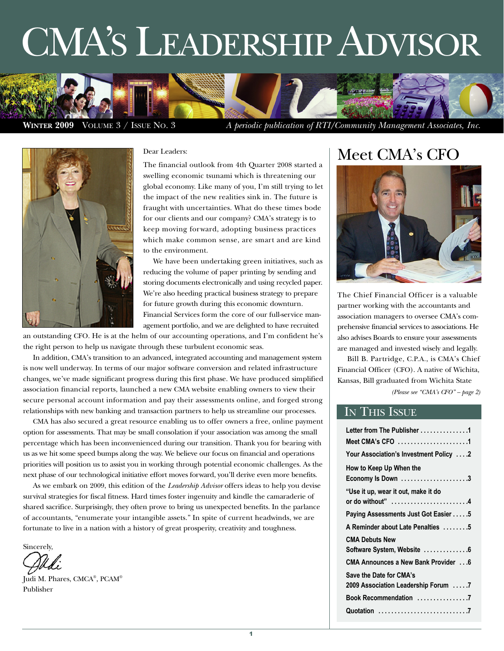# CMA'S LEADERSHIP ADVISOR





#### Dear Leaders:

The financial outlook from 4th Quarter 2008 started a swelling economic tsunami which is threatening our global economy. Like many of you, I'm still trying to let the impact of the new realities sink in. The future is fraught with uncertainties. What do these times bode for our clients and our company? CMA's strategy is to keep moving forward, adopting business practices which make common sense, are smart and are kind to the environment.

We have been undertaking green initiatives, such as reducing the volume of paper printing by sending and storing documents electronically and using recycled paper. We're also heeding practical business strategy to prepare for future growth during this economic downturn. Financial Services form the core of our full-service management portfolio, and we are delighted to have recruited

an outstanding CFO. He is at the helm of our accounting operations, and I'm confident he's the right person to help us navigate through these turbulent economic seas.

In addition, CMA's transition to an advanced, integrated accounting and management system is now well underway. In terms of our major software conversion and related infrastructure changes, we've made significant progress during this first phase. We have produced simplified association financial reports, launched a new CMA website enabling owners to view their secure personal account information and pay their assessments online, and forged strong relationships with new banking and transaction partners to help us streamline our processes.

CMA has also secured a great resource enabling us to offer owners a free, online payment option for assessments. That may be small consolation if your association was among the small percentage which has been inconvenienced during our transition. Thank you for bearing with us as we hit some speed bumps along the way. We believe our focus on financial and operations priorities will position us to assist you in working through potential economic challenges. As the next phase of our technological initiative effort moves forward, you'll derive even more benefits.

As we embark on 2009, this edition of the *Leadership Advisor* offers ideas to help you devise survival strategies for fiscal fitness. Hard times foster ingenuity and kindle the camaraderie of shared sacrifice. Surprisingly, they often prove to bring us unexpected benefits. In the parlance of accountants, "enumerate your intangible assets." In spite of current headwinds, we are fortunate to live in a nation with a history of great prosperity, creativity and toughness.

Sincerely,

Judi M. Phares, CMCA® , PCAM® Publisher

### Meet CMA's CFO



The Chief Financial Officer is a valuable partner working with the accountants and association managers to oversee CMA's comprehensive financial services to associations. He also advises Boards to ensure your assessments are managed and invested wisely and legally.

Bill B. Partridge, C.P.A., is CMA's Chief Financial Officer (CFO). A native of Wichita, Kansas, Bill graduated from Wichita State

*(Please see "CMA's CFO" – page 2)*

#### IN THIS ISSUE

| Letter from The Publisher 1            |
|----------------------------------------|
| Meet CMA's CFO 1                       |
| Your Association's Investment Policy 2 |
| How to Keep Up When the                |
| Economy Is Down 3                      |
| "Use it up, wear it out, make it do    |
| or do without" 4                       |
| Paying Assessments Just Got Easier 5   |
| A Reminder about Late Penalties 5      |
| <b>CMA Debuts New</b>                  |
| Software System, Website 6             |
| CMA Announces a New Bank Provider 6    |
| Save the Date for CMA's                |
| 2009 Association Leadership Forum 7    |
|                                        |
|                                        |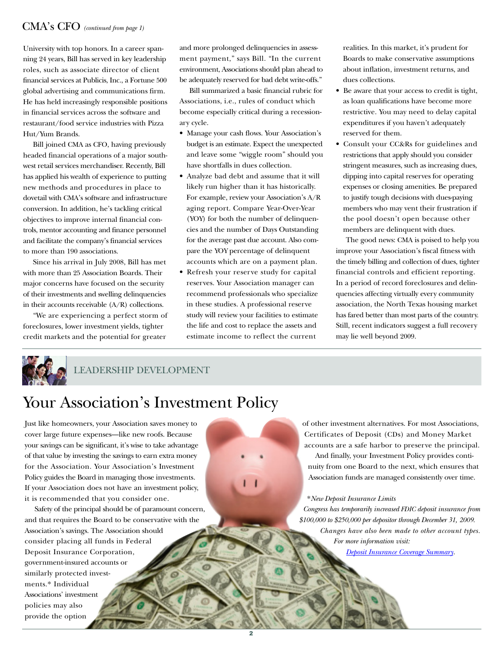#### CMA's CFO *(continued from page 1)*

University with top honors. In a career spanning 24 years, Bill has served in key leadership roles, such as associate director of client financial services at Publicis, Inc., a Fortune 500 global advertising and communications firm. He has held increasingly responsible positions in financial services across the software and restaurant/food service industries with Pizza Hut/Yum Brands.

Bill joined CMA as CFO, having previously headed financial operations of a major southwest retail services merchandiser. Recently, Bill has applied his wealth of experience to putting new methods and procedures in place to dovetail with CMA's software and infrastructure conversion. In addition, he's tackling critical objectives to improve internal financial controls, mentor accounting and finance personnel and facilitate the company's financial services to more than 190 associations.

Since his arrival in July 2008, Bill has met with more than 25 Association Boards. Their major concerns have focused on the security of their investments and swelling delinquencies in their accounts receivable (A/R) collections.

"We are experiencing a perfect storm of foreclosures, lower investment yields, tighter credit markets and the potential for greater

and more prolonged delinquencies in assessment payment," says Bill. "In the current environment, Associations should plan ahead to be adequately reserved for bad debt write-offs."

Bill summarized a basic financial rubric for Associations, i.e., rules of conduct which become especially critical during a recessionary cycle.

- Manage your cash flows. Your Association's budget is an estimate. Expect the unexpected and leave some "wiggle room" should you have shortfalls in dues collection.
- Analyze bad debt and assume that it will likely run higher than it has historically. For example, review your Association's A/R aging report. Compare Year-Over-Year (YOY) for both the number of delinquencies and the number of Days Outstanding for the average past due account. Also compare the YOY percentage of delinquent accounts which are on a payment plan.
- Refresh your reserve study for capital reserves. Your Association manager can recommend professionals who specialize in these studies. A professional reserve study will review your facilities to estimate the life and cost to replace the assets and estimate income to reflect the current

realities. In this market, it's prudent for Boards to make conservative assumptions about inflation, investment returns, and dues collections.

- Be aware that your access to credit is tight, as loan qualifications have become more restrictive. You may need to delay capital expenditures if you haven't adequately reserved for them.
- Consult your CC&Rs for guidelines and restrictions that apply should you consider stringent measures, such as increasing dues, dipping into capital reserves for operating expenses or closing amenities. Be prepared to justify tough decisions with dues-paying members who may vent their frustration if the pool doesn't open because other members are delinquent with dues.

The good news: CMA is poised to help you improve your Association's fiscal fitness with the timely billing and collection of dues, tighter financial controls and efficient reporting. In a period of record foreclosures and delinquencies affecting virtually every community association, the North Texas housing market has fared better than most parts of the country. Still, recent indicators suggest a full recovery may lie well beyond 2009.



LEADERSHIP DEVELOPMENT

### Your Association's Investment Policy

Just like homeowners, your Association saves money to cover large future expenses—like new roofs. Because your savings can be significant, it's wise to take advantage of that value by investing the savings to earn extra money for the Association. Your Association's Investment Policy guides the Board in managing those investments. If your Association does not have an investment policy, it is recommended that you consider one.

Safety of the principal should be of paramount concern, and that requires the Board to be conservative with the Association's savings. The Association should consider placing all funds in Federal Deposit Insurance Corporation, government-insured accounts or similarly protected investments.\* Individual Associations' investment policies may also provide the option

of other investment alternatives. For most Associations, Certificates of Deposit (CDs) and Money Market accounts are a safe harbor to preserve the principal.

And finally, your Investment Policy provides continuity from one Board to the next, which ensures that Association funds are managed consistently over time.

\**New Deposit Insurance Limits*

*Congress has temporarily increased FDIC deposit insurance from \$100,000 to \$250,000 per depositor through December 31, 2009. Changes have also been made to other account types. For more information visit:* 

*[Deposit Insurance Coverage Summary.](http://www.fdic.gov/news/news/financial/2008/fil08102a.html)*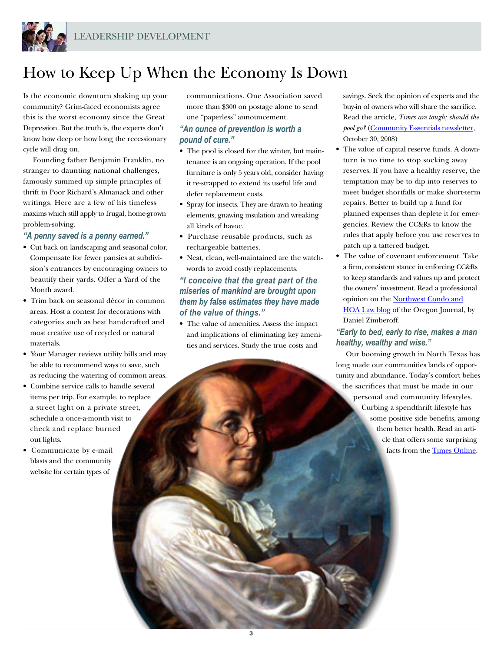

### How to Keep Up When the Economy Is Down

Is the economic downturn shaking up your community? Grim-faced economists agree this is the worst economy since the Great Depression. But the truth is, the experts don't know how deep or how long the recessionary cycle will drag on.

Founding father Benjamin Franklin, no stranger to daunting national challenges, famously summed up simple principles of thrift in Poor Richard's Almanack and other writings. Here are a few of his timeless maxims which still apply to frugal, home-grown problem-solving.

#### *"A penny saved is a penny earned."*

- Cut back on landscaping and seasonal color. Compensate for fewer pansies at subdivision's entrances by encouraging owners to beautify their yards. Offer a Yard of the Month award.
- Trim back on seasonal décor in common areas. Host a contest for decorations with categories such as best handcrafted and most creative use of recycled or natural materials.
- Your Manager reviews utility bills and may be able to recommend ways to save, such as reducing the watering of common areas.
- Combine service calls to handle several items per trip. For example, to replace a street light on a private street, schedule a once-a-month visit to check and replace burned out lights.
- Communicate by e-mail blasts and the community website for certain types of

communications. One Association saved more than \$300 on postage alone to send one "paperless" announcement.

#### *"An ounce of prevention is worth a pound of cure."*

- The pool is closed for the winter, but maintenance is an ongoing operation. If the pool furniture is only 5 years old, consider having it re-strapped to extend its useful life and defer replacement costs.
- Spray for insects. They are drawn to heating elements, gnawing insulation and wreaking all kinds of havoc.
- Purchase reusable products, such as rechargeable batteries.
- Neat, clean, well-maintained are the watchwords to avoid costly replacements.

#### *"I conceive that the great part of the miseries of mankind are brought upon them by false estimates they have made of the value of things."*

• The value of amenities. Assess the impact and implications of eliminating key amenities and services. Study the true costs and

3

savings. Seek the opinion of experts and the buy-in of owners who will share the sacrifice. Read the article, *Times are tough; should the pool go?* [\(Community E-ssentials newsletter,](http://www.imakenews.com/ortenhindman/e_article001248122.cfm?x=b11,b8mfld1j,w) October 30, 2008)

- The value of capital reserve funds. A downturn is no time to stop socking away reserves. If you have a healthy reserve, the temptation may be to dip into reserves to meet budget shortfalls or make short-term repairs. Better to build up a fund for planned expenses than deplete it for emergencies. Review the CC&Rs to know the rules that apply before you use reserves to patch up a tattered budget.
- The value of covenant enforcement. Take a firm, consistent stance in enforcing CC&Rs to keep standards and values up and protect the owners' investment. Read a professional opinion on the [Northwest Condo and](http://www.condo-hoalawblog.com/2008/10/articles/oregon/the-sky-is-fallingthe-sky-is-falling/) [HOA Law blog](http://www.condo-hoalawblog.com/2008/10/articles/oregon/the-sky-is-fallingthe-sky-is-falling/) of the Oregon Journal, by Daniel Zimberoff.

#### *"Early to bed, early to rise, makes a man healthy, wealthy and wise."*

Our booming growth in North Texas has long made our communities lands of opportunity and abundance. Today's comfort belies the sacrifices that must be made in our personal and community lifestyles. Curbing a spendthrift lifestyle has some positive side benefits, among them better health. Read an article that offers some surprising facts from the [Times Online.](http://www.timesonline.co.uk/tol/comment/columnists/guest_contributors/article4916300.ece)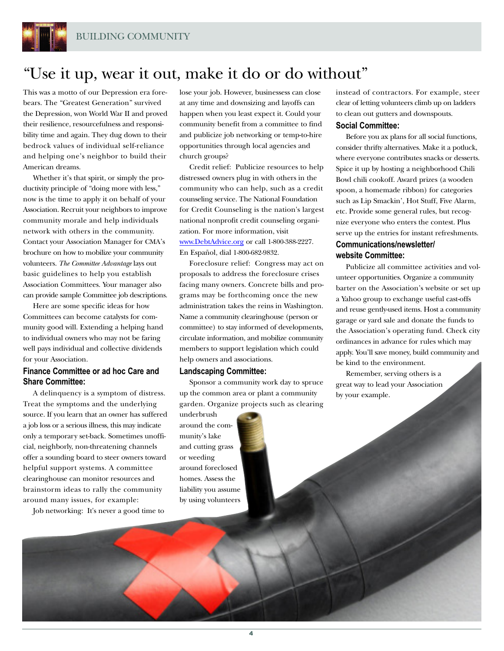

### "Use it up, wear it out, make it do or do without"

This was a motto of our Depression era forebears. The "Greatest Generation" survived the Depression, won World War II and proved their resilience, resourcefulness and responsibility time and again. They dug down to their bedrock values of individual self-reliance and helping one's neighbor to build their American dreams.

Whether it's that spirit, or simply the productivity principle of "doing more with less," now is the time to apply it on behalf of your Association. Recruit your neighbors to improve community morale and help individuals network with others in the community. Contact your Association Manager for CMA's brochure on how to mobilize your community volunteers. *The Committee Advantage* lays out basic guidelines to help you establish Association Committees. Your manager also can provide sample Committee job descriptions.

Here are some specific ideas for how Committees can become catalysts for community good will. Extending a helping hand to individual owners who may not be faring well pays individual and collective dividends for your Association.

#### **Finance Committee or ad hoc Care and Share Committee:**

A delinquency is a symptom of distress. Treat the symptoms and the underlying source. If you learn that an owner has suffered a job loss or a serious illness, this may indicate only a temporary set-back. Sometimes unofficial, neighborly, non-threatening channels offer a sounding board to steer owners toward helpful support systems. A committee clearinghouse can monitor resources and brainstorm ideas to rally the community around many issues, for example:

Job networking: It's never a good time to

lose your job. However, businessess can close at any time and downsizing and layoffs can happen when you least expect it. Could your community benefit from a committee to find and publicize job networking or temp-to-hire opportunities through local agencies and church groups?

Credit relief: Publicize resources to help distressed owners plug in with others in the community who can help, such as a credit counseling service. The National Foundation for Credit Counseling is the nation's largest national nonprofit credit counseling organization. For more information, visit [www.DebtAdvice.org](http://www.DebtAdvice.org) or call 1-800-388-2227. En Español, dial 1-800-682-9832.

Foreclosure relief: Congress may act on proposals to address the foreclosure crises facing many owners. Concrete bills and programs may be forthcoming once the new administration takes the reins in Washington. Name a community clearinghouse (person or committee) to stay informed of developments, circulate information, and mobilize community members to support legislation which could help owners and associations.

#### **Landscaping Committee:**

Sponsor a community work day to spruce up the common area or plant a community garden. Organize projects such as clearing

underbrush around the community's lake and cutting grass or weeding around foreclosed homes. Assess the liability you assume by using volunteers

instead of contractors. For example, steer clear of letting volunteers climb up on ladders to clean out gutters and downspouts.

#### **Social Committee:**

Before you ax plans for all social functions, consider thrifty alternatives. Make it a potluck, where everyone contributes snacks or desserts. Spice it up by hosting a neighborhood Chili Bowl chili cookoff. Award prizes (a wooden spoon, a homemade ribbon) for categories such as Lip Smackin', Hot Stuff, Five Alarm, etc. Provide some general rules, but recognize everyone who enters the contest. Plus serve up the entries for instant refreshments. **Communications/newsletter/ website Committee:**

Publicize all committee activities and volunteer opportunities. Organize a community barter on the Association's website or set up a Yahoo group to exchange useful cast-offs and reuse gently-used items. Host a community garage or yard sale and donate the funds to the Association's operating fund. Check city ordinances in advance for rules which may apply. You'll save money, build community and be kind to the environment.

Remember, serving others is a great way to lead your Association by your example.

4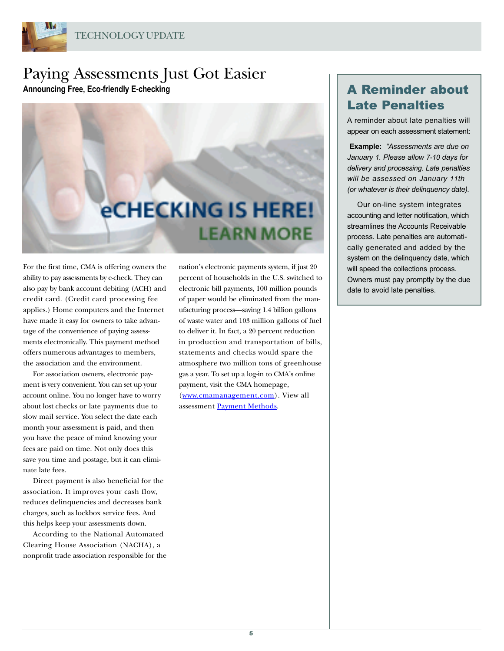

### Paying Assessments Just Got Easier Announcing Free, Eco-friendly E-checking **A Reminder about**



For the first time, CMA is offering owners the ability to pay assessments by e-check. They can also pay by bank account debiting (ACH) and credit card. (Credit card processing fee applies.) Home computers and the Internet have made it easy for owners to take advantage of the convenience of paying assessments electronically. This payment method offers numerous advantages to members, the association and the environment.

For association owners, electronic payment is very convenient. You can set up your account online. You no longer have to worry about lost checks or late payments due to slow mail service. You select the date each month your assessment is paid, and then you have the peace of mind knowing your fees are paid on time. Not only does this save you time and postage, but it can eliminate late fees.

Direct payment is also beneficial for the association. It improves your cash flow, reduces delinquencies and decreases bank charges, such as lockbox service fees. And this helps keep your assessments down.

According to the National Automated Clearing House Association (NACHA), a nonprofit trade association responsible for the nation's electronic payments system, if just 20 percent of households in the U.S. switched to electronic bill payments, 100 million pounds of paper would be eliminated from the manufacturing process—saving 1.4 billion gallons of waste water and 103 million gallons of fuel to deliver it. In fact, a 20 percent reduction in production and transportation of bills, statements and checks would spare the atmosphere two million tons of greenhouse gas a year. To set up a log-in to CMA's online payment, visit the CMA homepage, [\(www.cmamanagement.com\)](http://www.cmamanagement.com). View all assessment [Payment Methods.](https://www.cmamanagement.com/webtemplate.asp?id=91)

## Late Penalties

A reminder about late penalties will appear on each assessment statement:

**Example:** "Assessments are due on January 1. Please allow 7-10 days for delivery and processing. Late penalties will be assessed on January 11th (or whatever is their delinquency date).

Our on-line system integrates accounting and letter notification, which streamlines the Accounts Receivable process. Late penalties are automatically generated and added by the system on the delinquency date, which will speed the collections process. Owners must pay promptly by the due date to avoid late penalties.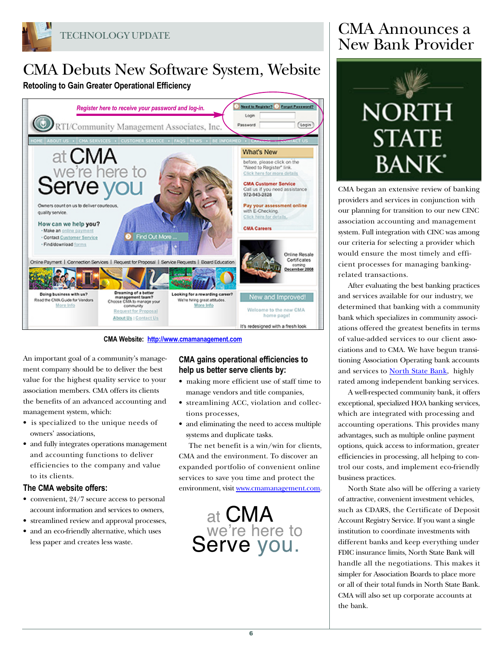

### CMA Debuts New Software System, Website **Retooling to Gain Greater Operational Efficiency**



**CMA Website: <http://www.cmamanagement.com>**

An important goal of a community's management company should be to deliver the best value for the highest quality service to your association members. CMA offers its clients the benefits of an advanced accounting and management system, which:

- is specialized to the unique needs of owners' associations,
- and fully integrates operations management and accounting functions to deliver efficiencies to the company and value to its clients.

#### **The CMA website offers:**

- convenient, 24/7 secure access to personal account information and services to owners,
- streamlined review and approval processes,
- and an eco-friendly alternative, which uses less paper and creates less waste.

#### **CMA gains operational efficiencies to help us better serve clients by:**

- making more efficient use of staff time to manage vendors and title companies,
- streamlining ACC, violation and collections processes,
- and eliminating the need to access multiple systems and duplicate tasks.

The net benefit is a win/win for clients, CMA and the environment. To discover an expanded portfolio of convenient online services to save you time and protect the environment, visit [www.cmamanagement.com.](http://www.cmamanagement.com)



### CMA Announces a New Bank Provider



CMA began an extensive review of banking providers and services in conjunction with our planning for transition to our new CINC association accounting and management system. Full integration with CINC was among our criteria for selecting a provider which would ensure the most timely and efficient processes for managing bankingrelated transactions.

After evaluating the best banking practices and services available for our industry, we determined that banking with a community bank which specializes in community associations offered the greatest benefits in terms of value-added services to our client associations and to CMA. We have begun transitioning Association Operating bank accounts and services to **North State Bank**, highly rated among independent banking services.

A well-respected community bank, it offers exceptional, specialized HOA banking services, which are integrated with processing and accounting operations. This provides many advantages, such as multiple online payment options, quick access to information, greater efficiencies in processing, all helping to control our costs, and implement eco-friendly business practices.

North State also will be offering a variety of attractive, convenient investment vehicles, such as CDARS, the Certificate of Deposit Account Registry Service. If you want a single institution to coordinate investments with different banks and keep everything under FDIC insurance limits, North State Bank will handle all the negotiations. This makes it simpler for Association Boards to place more or all of their total funds in North State Bank. CMA will also set up corporate accounts at the bank.